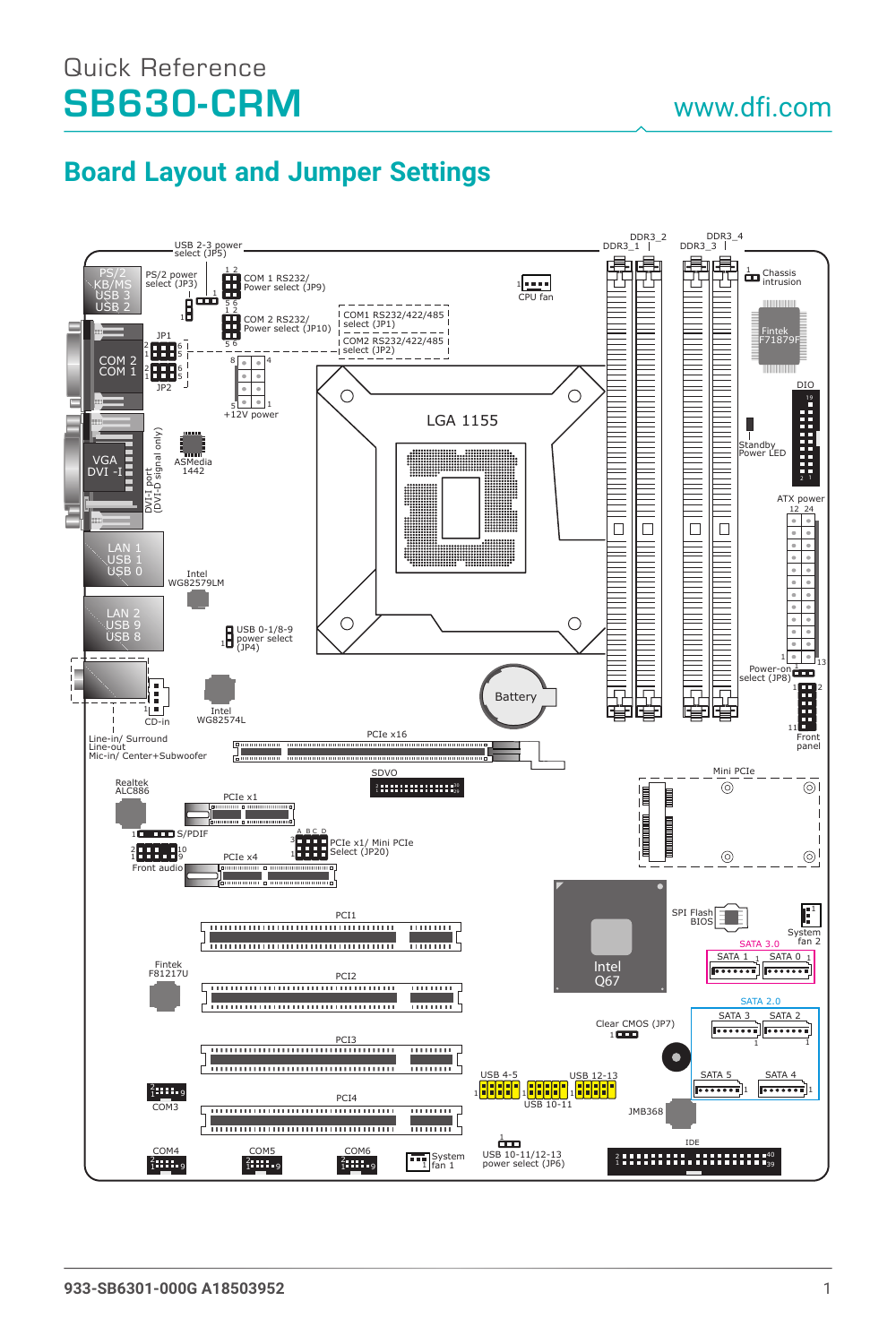## Quick Reference SB630-CRM

## **Board Layout and Jumper Settings**